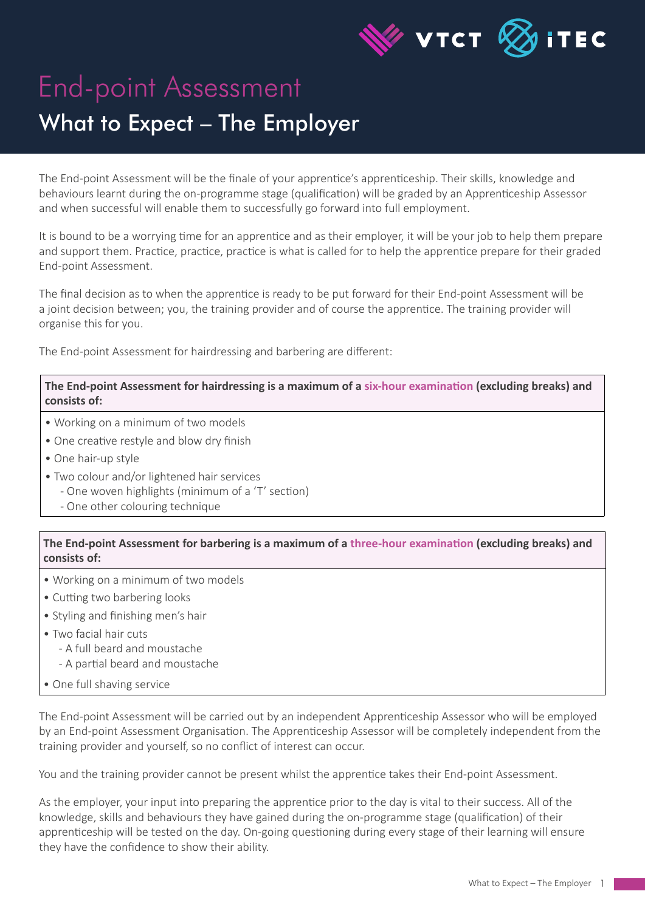

## End-point Assessment What to Expect – The Employer

The End-point Assessment will be the finale of your apprentice's apprenticeship. Their skills, knowledge and behaviours learnt during the on-programme stage (qualification) will be graded by an Apprenticeship Assessor and when successful will enable them to successfully go forward into full employment.

It is bound to be a worrying time for an apprentice and as their employer, it will be your job to help them prepare and support them. Practice, practice, practice is what is called for to help the apprentice prepare for their graded End-point Assessment.

The final decision as to when the apprentice is ready to be put forward for their End-point Assessment will be a joint decision between; you, the training provider and of course the apprentice. The training provider will organise this for you.

The End-point Assessment for hairdressing and barbering are different:

**The End-point Assessment for hairdressing is a maximum of a six-hour examination (excluding breaks) and consists of:**

- Working on a minimum of two models
- One creative restyle and blow dry finish
- One hair-up style
- Two colour and/or lightened hair services
	- One woven highlights (minimum of a 'T' section)
	- One other colouring technique

**The End-point Assessment for barbering is a maximum of a three-hour examination (excluding breaks) and consists of:**

- Working on a minimum of two models
- Cutting two barbering looks
- Styling and finishing men's hair
- Two facial hair cuts
	- A full beard and moustache
	- A partial beard and moustache
- One full shaving service

The End-point Assessment will be carried out by an independent Apprenticeship Assessor who will be employed by an End-point Assessment Organisation. The Apprenticeship Assessor will be completely independent from the training provider and yourself, so no conflict of interest can occur.

You and the training provider cannot be present whilst the apprentice takes their End-point Assessment.

As the employer, your input into preparing the apprentice prior to the day is vital to their success. All of the knowledge, skills and behaviours they have gained during the on-programme stage (qualification) of their apprenticeship will be tested on the day. On-going questioning during every stage of their learning will ensure they have the confidence to show their ability.